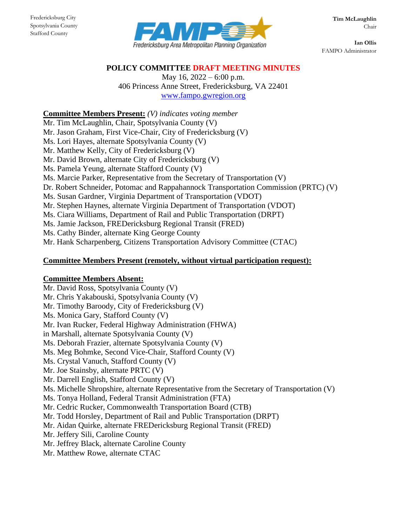

**Ian Ollis** FAMPO Administrator

### **POLICY COMMITTEE DRAFT MEETING MINUTES**

May 16, 2022 – 6:00 p.m. 406 Princess Anne Street, Fredericksburg, VA 22401 [www.fampo.gwregion.org](http://www.fampo.gwregion.org/)

### **Committee Members Present:** *(V) indicates voting member*

Mr. Tim McLaughlin, Chair, Spotsylvania County (V) Mr. Jason Graham, First Vice-Chair, City of Fredericksburg (V) Ms. Lori Hayes, alternate Spotsylvania County (V) Mr. Matthew Kelly, City of Fredericksburg (V) Mr. David Brown, alternate City of Fredericksburg (V) Ms. Pamela Yeung, alternate Stafford County (V) Ms. Marcie Parker, Representative from the Secretary of Transportation (V) Dr. Robert Schneider, Potomac and Rappahannock Transportation Commission (PRTC) (V) Ms. Susan Gardner, Virginia Department of Transportation (VDOT) Mr. Stephen Haynes, alternate Virginia Department of Transportation (VDOT) Ms. Ciara Williams, Department of Rail and Public Transportation (DRPT) Ms. Jamie Jackson, FREDericksburg Regional Transit (FRED) Ms. Cathy Binder, alternate King George County

Mr. Hank Scharpenberg, Citizens Transportation Advisory Committee (CTAC)

### **Committee Members Present (remotely, without virtual participation request):**

#### **Committee Members Absent:**

Mr. David Ross, Spotsylvania County (V) Mr. Chris Yakabouski, Spotsylvania County (V) Mr. Timothy Baroody, City of Fredericksburg (V) Ms. Monica Gary, Stafford County (V) Mr. Ivan Rucker, Federal Highway Administration (FHWA) in Marshall, alternate Spotsylvania County (V) Ms. Deborah Frazier, alternate Spotsylvania County (V) Ms. Meg Bohmke, Second Vice-Chair, Stafford County (V) Ms. Crystal Vanuch, Stafford County (V) Mr. Joe Stainsby, alternate PRTC (V) Mr. Darrell English, Stafford County (V) Ms. Michelle Shropshire, alternate Representative from the Secretary of Transportation (V) Ms. Tonya Holland, Federal Transit Administration (FTA) Mr. Cedric Rucker, Commonwealth Transportation Board (CTB) Mr. Todd Horsley, Department of Rail and Public Transportation (DRPT) Mr. Aidan Quirke, alternate FREDericksburg Regional Transit (FRED) Mr. Jeffery Sili, Caroline County Mr. Jeffrey Black, alternate Caroline County Mr. Matthew Rowe, alternate CTAC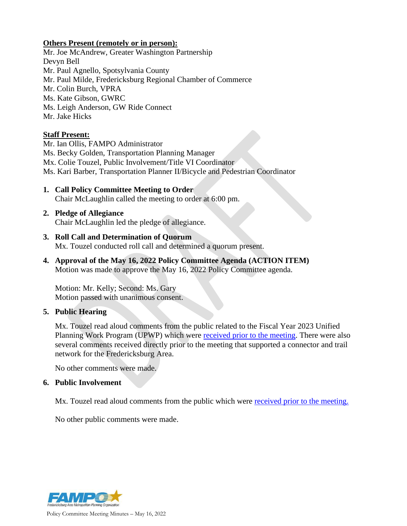#### **Others Present (remotely or in person):**

Mr. Joe McAndrew, Greater Washington Partnership Devyn Bell Mr. Paul Agnello, Spotsylvania County Mr. Paul Milde, Fredericksburg Regional Chamber of Commerce Mr. Colin Burch, VPRA Ms. Kate Gibson, GWRC Ms. Leigh Anderson, GW Ride Connect Mr. Jake Hicks

### **Staff Present:**

Mr. Ian Ollis, FAMPO Administrator Ms. Becky Golden, Transportation Planning Manager Mx. Colie Touzel, Public Involvement/Title VI Coordinator Ms. Kari Barber, Transportation Planner II/Bicycle and Pedestrian Coordinator

- **1. Call Policy Committee Meeting to Order** Chair McLaughlin called the meeting to order at 6:00 pm.
- **2. Pledge of Allegiance** Chair McLaughlin led the pledge of allegiance.
- **3. Roll Call and Determination of Quorum** Mx. Touzel conducted roll call and determined a quorum present.
- **4. Approval of the May 16, 2022 Policy Committee Agenda (ACTION ITEM)** Motion was made to approve the May 16, 2022 Policy Committee agenda.

Motion: Mr. Kelly; Second: Ms. Gary Motion passed with unanimous consent.

#### **5. Public Hearing**

Mx. Touzel read aloud comments from the public related to the Fiscal Year 2023 Unified Planning Work Program (UPWP) which were [received prior to the meeting.](https://www.fampo.gwregion.org/wp-content/uploads/2022/05/5_2022.05.11-UPWP-Public-comments.pdf) There were also several comments received directly prior to the meeting that supported a connector and trail network for the Fredericksburg Area.

No other comments were made.

#### **6. Public Involvement**

Mx. Touzel read aloud comments from the public which were [received prior to the meeting.](https://www.fampo.gwregion.org/wp-content/uploads/2022/05/6_2022-05-11-General-Public-Comments.pdf)

No other public comments were made.

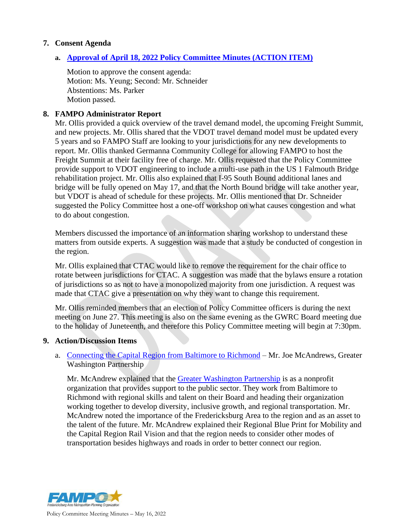### **7. Consent Agenda**

### **a. Approval of April 18, 2022 [Policy Committee Minutes \(ACTION ITEM\)](https://www.fampo.gwregion.org/wp-content/uploads/2022/04/2022.04.19-Policy-Committee-DRAFT-Minutes.pdf)**

Motion to approve the consent agenda: Motion: Ms. Yeung; Second: Mr. Schneider Abstentions: Ms. Parker Motion passed.

### **8. FAMPO Administrator Report**

Mr. Ollis provided a quick overview of the travel demand model, the upcoming Freight Summit, and new projects. Mr. Ollis shared that the VDOT travel demand model must be updated every 5 years and so FAMPO Staff are looking to your jurisdictions for any new developments to report. Mr. Ollis thanked Germanna Community College for allowing FAMPO to host the Freight Summit at their facility free of charge. Mr. Ollis requested that the Policy Committee provide support to VDOT engineering to include a multi-use path in the US 1 Falmouth Bridge rehabilitation project. Mr. Ollis also explained that I-95 South Bound additional lanes and bridge will be fully opened on May 17, and that the North Bound bridge will take another year, but VDOT is ahead of schedule for these projects. Mr. Ollis mentioned that Dr. Schneider suggested the Policy Committee host a one-off workshop on what causes congestion and what to do about congestion.

Members discussed the importance of an information sharing workshop to understand these matters from outside experts. A suggestion was made that a study be conducted of congestion in the region.

Mr. Ollis explained that CTAC would like to remove the requirement for the chair office to rotate between jurisdictions for CTAC. A suggestion was made that the bylaws ensure a rotation of jurisdictions so as not to have a monopolized majority from one jurisdiction. A request was made that CTAC give a presentation on why they want to change this requirement.

Mr. Ollis reminded members that an election of Policy Committee officers is during the next meeting on June 27. This meeting is also on the same evening as the GWRC Board meeting due to the holiday of Juneteenth, and therefore this Policy Committee meeting will begin at 7:30pm.

#### **9. Action/Discussion Items**

## a. [Connecting the Capital Region from Baltimore to Richmond](https://www.fampo.gwregion.org/wp-content/uploads/2022/05/9a_Connecting-the-Capital-Region-from-Baltimore-to-Richmond-GWP.pdf) – Mr. Joe McAndrews, Greater Washington Partnership

Mr. McAndrew explained that the [Greater Washington Partnership](https://greaterwashingtonpartnership.com/) is as a nonprofit organization that provides support to the public sector. They work from Baltimore to Richmond with regional skills and talent on their Board and heading their organization working together to develop diversity, inclusive growth, and regional transportation. Mr. McAndrew noted the importance of the Fredericksburg Area to the region and as an asset to the talent of the future. Mr. McAndrew explained their Regional Blue Print for Mobility and the Capital Region Rail Vision and that the region needs to consider other modes of transportation besides highways and roads in order to better connect our region.

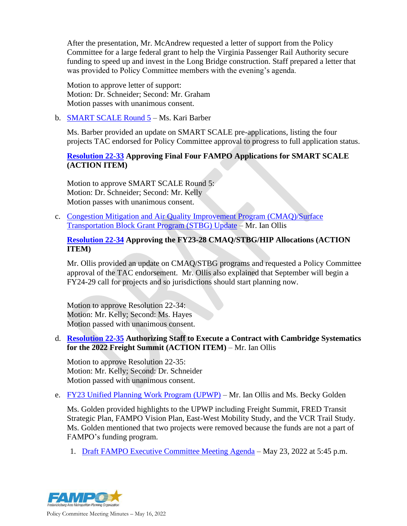After the presentation, Mr. McAndrew requested a letter of support from the Policy Committee for a large federal grant to help the Virginia Passenger Rail Authority secure funding to speed up and invest in the Long Bridge construction. Staff prepared a letter that was provided to Policy Committee members with the evening's agenda.

Motion to approve letter of support: Motion: Dr. Schneider; Second: Mr. Graham Motion passes with unanimous consent.

b. [SMART SCALE Round 5](https://www.fampo.gwregion.org/wp-content/uploads/2022/05/9b_SMART-SCALE-Round-5-Update-May-PC.pdf) – Ms. Kari Barber

Ms. Barber provided an update on SMART SCALE pre-applications, listing the four projects TAC endorsed for Policy Committee approval to progress to full application status.

# **[Resolution 22-33](https://www.fampo.gwregion.org/wp-content/uploads/2022/05/9b1_Resolution-22-33.pdf) Approving Final Four FAMPO Applications for SMART SCALE (ACTION ITEM)**

Motion to approve SMART SCALE Round 5: Motion: Dr. Schneider; Second: Mr. Kelly Motion passes with unanimous consent.

c. [Congestion Mitigation and Air Quality Improvement Program \(CMAQ\)/Surface](https://www.fampo.gwregion.org/wp-content/uploads/2022/05/9c_CMAQ-STBG-HIP-Update-May-PC.pdf)  [Transportation Block Grant Program \(STBG\) Update](https://www.fampo.gwregion.org/wp-content/uploads/2022/05/9c_CMAQ-STBG-HIP-Update-May-PC.pdf) – Mr. Ian Ollis

### **[Resolution 22-34](https://www.fampo.gwregion.org/wp-content/uploads/2022/05/9c1_Resolution-22-34.pdf) Approving the FY23-28 CMAQ/STBG/HIP Allocations (ACTION ITEM)**

Mr. Ollis provided an update on CMAQ/STBG programs and requested a Policy Committee approval of the TAC endorsement. Mr. Ollis also explained that September will begin a FY24-29 call for projects and so jurisdictions should start planning now.

Motion to approve Resolution 22-34: Motion: Mr. Kelly; Second: Ms. Hayes Motion passed with unanimous consent.

### d. **[Resolution 22-35](https://www.fampo.gwregion.org/wp-content/uploads/2022/05/9d_Resolution-22-35.pdf) Authorizing Staff to Execute a Contract with Cambridge Systematics for the 2022 Freight Summit (ACTION ITEM)** – Mr. Ian Ollis

Motion to approve Resolution 22-35: Motion: Mr. Kelly; Second: Dr. Schneider Motion passed with unanimous consent.

e. [FY23 Unified Planning Work Program \(UPWP\)](https://www.fampo.gwregion.org/wp-content/uploads/2022/05/9e_FY2023-UPWP-Final-Draft.pdf) – Mr. Ian Ollis and Ms. Becky Golden

Ms. Golden provided highlights to the UPWP including Freight Summit, FRED Transit Strategic Plan, FAMPO Vision Plan, East-West Mobility Study, and the VCR Trail Study. Ms. Golden mentioned that two projects were removed because the funds are not a part of FAMPO's funding program.

1. [Draft FAMPO Executive Committee Meeting Agenda](https://www.fampo.gwregion.org/wp-content/uploads/2022/05/9e1_2022.05.23-Executive-Committee-Meeting-Agenda.pdf) – May 23, 2022 at 5:45 p.m.